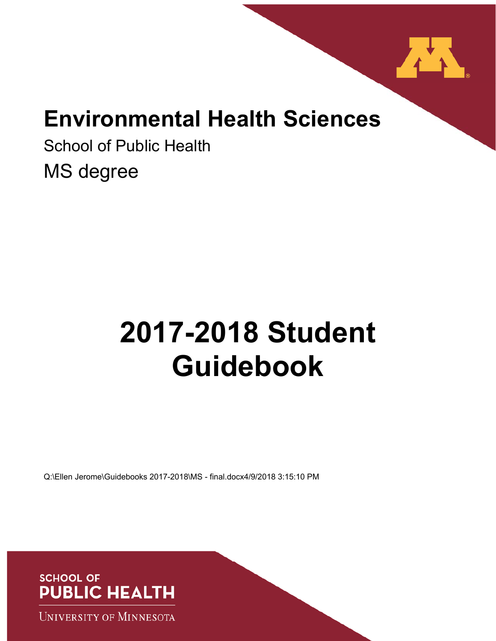

## **Environmental Health Sciences**

School of Public Health MS degree

# **2017-2018 Student Guidebook**

Q:\Ellen Jerome\Guidebooks 2017-2018\MS - final.docx4/9/2018 3:15:10 PM



**UNIVERSITY OF MINNESOTA**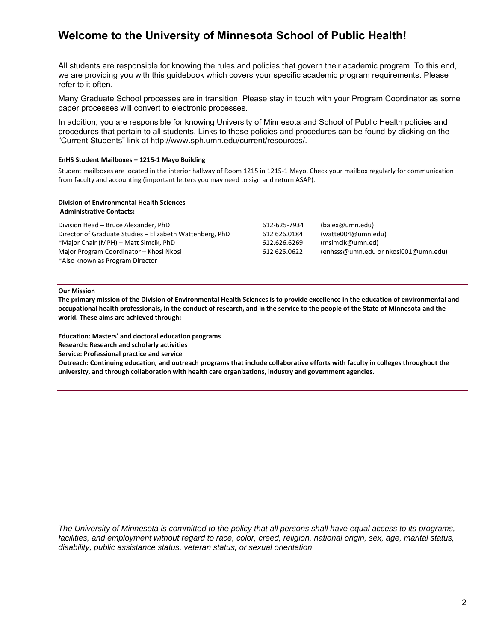## **Welcome to the University of Minnesota School of Public Health!**

All students are responsible for knowing the rules and policies that govern their academic program. To this end, we are providing you with this guidebook which covers your specific academic program requirements. Please refer to it often.

Many Graduate School processes are in transition. Please stay in touch with your Program Coordinator as some paper processes will convert to electronic processes.

In addition, you are responsible for knowing University of Minnesota and School of Public Health policies and procedures that pertain to all students. Links to these policies and procedures can be found by clicking on the "Current Students" link at http://www.sph.umn.edu/current/resources/.

#### **EnHS Student Mailboxes – 1215‐1 Mayo Building**

Student mailboxes are located in the interior hallway of Room 1215 in 1215‐1 Mayo. Check your mailbox regularly for communication from faculty and accounting (important letters you may need to sign and return ASAP).

#### **Division of Environmental Health Sciences**

 **Administrative Contacts:**

| Division Head - Bruce Alexander, PhD                     | 612-625-7934 | (balex@umn.edu)                      |
|----------------------------------------------------------|--------------|--------------------------------------|
| Director of Graduate Studies - Elizabeth Wattenberg, PhD | 612 626.0184 | (watte004@umn.edu)                   |
| *Major Chair (MPH) – Matt Simcik, PhD                    | 612.626.6269 | (msimcik@umn.ed)                     |
| Major Program Coordinator - Khosi Nkosi                  | 612 625.0622 | (enhsss@umn.edu or nkosi001@umn.edu) |
| *Also known as Program Director                          |              |                                      |

#### **Our Mission**

**The primary mission of the Division of Environmental Health Sciences is to provide excellence in the education of environmental and occupational health professionals, in the conduct of research, and in the service to the people of the State of Minnesota and the world. These aims are achieved through:** 

**Education: Masters' and doctoral education programs** 

**Research: Research and scholarly activities** 

**Service: Professional practice and service** 

**Outreach: Continuing education, and outreach programs that include collaborative efforts with faculty in colleges throughout the university, and through collaboration with health care organizations, industry and government agencies.** 

*The University of Minnesota is committed to the policy that all persons shall have equal access to its programs,*  facilities, and employment without regard to race, color, creed, religion, national origin, sex, age, marital status, *disability, public assistance status, veteran status, or sexual orientation.*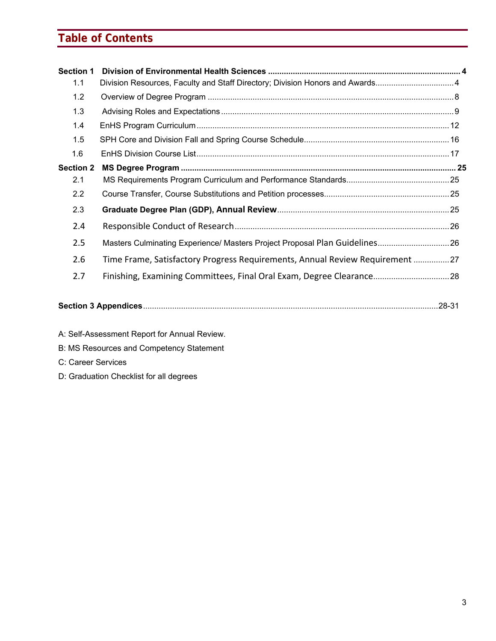## **Table of Contents**

| <b>Section 1</b> |                                                                              |  |
|------------------|------------------------------------------------------------------------------|--|
| 1.1              | Division Resources, Faculty and Staff Directory; Division Honors and Awards4 |  |
| 1.2              |                                                                              |  |
| 1.3              |                                                                              |  |
| 1.4              |                                                                              |  |
| 1.5              |                                                                              |  |
| 1.6              |                                                                              |  |
| <b>Section 2</b> |                                                                              |  |
| 2.1              |                                                                              |  |
| $2.2^{\circ}$    |                                                                              |  |
| 2.3              |                                                                              |  |
| 2.4              |                                                                              |  |
| 2.5              | Masters Culminating Experience/ Masters Project Proposal Plan Guidelines 26  |  |
| 2.6              | Time Frame, Satisfactory Progress Requirements, Annual Review Requirement 27 |  |
| 2.7              | Finishing, Examining Committees, Final Oral Exam, Degree Clearance 28        |  |
|                  |                                                                              |  |

- A: Self-Assessment Report for Annual Review.
- B: MS Resources and Competency Statement
- C: Career Services
- D: Graduation Checklist for all degrees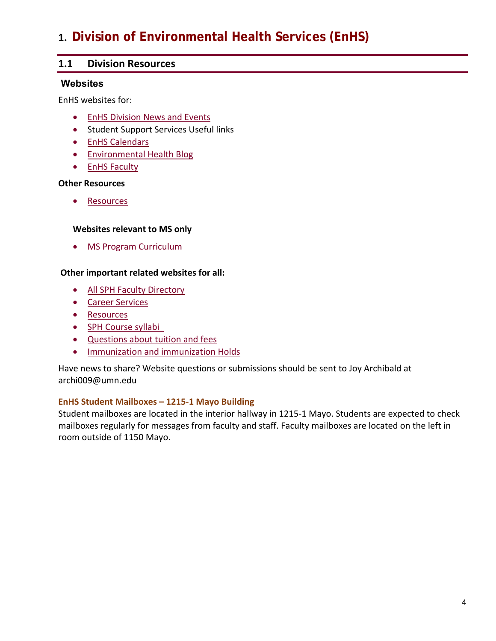## 1. Division of Environmental Health Services (EnHS)

#### **1.1 Division Resources**

#### **Websites**

EnHS websites for:

- EnHS Division News and Events
- **•** Student Support Services Useful links
- EnHS Calendars
- **•** Environmental Health Blog
- EnHS Faculty

#### **Other Resources**

• Resources

#### **Websites relevant to MS only**

• MS Program Curriculum

#### **Other important related websites for all:**

- All SPH Faculty Directory
- Career Services
- Resources
- SPH Course syllabi
- Questions about tuition and fees
- **•** Immunization and immunization Holds

Have news to share? Website questions or submissions should be sent to Joy Archibald at archi009@umn.edu

#### **EnHS Student Mailboxes – 1215‐1 Mayo Building**

Student mailboxes are located in the interior hallway in 1215‐1 Mayo. Students are expected to check mailboxes regularly for messages from faculty and staff. Faculty mailboxes are located on the left in room outside of 1150 Mayo.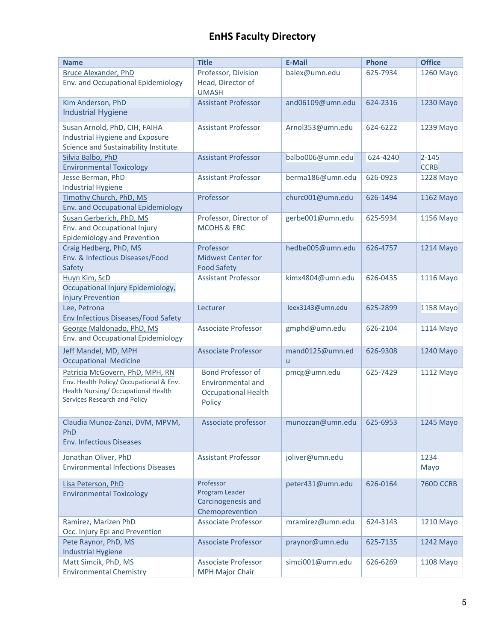## **EnHS Faculty Directory**

| <b>Name</b>                                                                           | <b>Title</b>                                | <b>E-Mail</b>    | <b>Phone</b> | <b>Office</b> |
|---------------------------------------------------------------------------------------|---------------------------------------------|------------------|--------------|---------------|
| <b>Bruce Alexander, PhD</b>                                                           | Professor, Division                         | balex@umn.edu    | 625-7934     | 1260 Mayo     |
| Env. and Occupational Epidemiology                                                    | Head, Director of<br><b>UMASH</b>           |                  |              |               |
| Kim Anderson, PhD                                                                     | <b>Assistant Professor</b>                  | and06109@umn.edu | 624-2316     | 1230 Mayo     |
| <b>Industrial Hygiene</b>                                                             |                                             |                  |              |               |
| Susan Arnold, PhD, CIH, FAIHA                                                         | <b>Assistant Professor</b>                  | Arnol353@umn.edu | 624-6222     | 1239 Mayo     |
| <b>Industrial Hygiene and Exposure</b>                                                |                                             |                  |              |               |
| Science and Sustainability Institute                                                  |                                             |                  |              |               |
| Silvia Balbo, PhD                                                                     | <b>Assistant Professor</b>                  | balbo006@umn.edu | 624-4240     | $2 - 145$     |
| <b>Environmental Toxicology</b>                                                       |                                             |                  |              | <b>CCRB</b>   |
| Jesse Berman, PhD                                                                     | <b>Assistant Professor</b>                  | berma186@umn.edu | 626-0923     | 1228 Mayo     |
| <b>Industrial Hygiene</b>                                                             |                                             |                  |              |               |
| Timothy Church, PhD, MS<br>Env. and Occupational Epidemiology                         | Professor                                   | churc001@umn.edu | 626-1494     | 1162 Mayo     |
| Susan Gerberich, PhD, MS                                                              | Professor, Director of                      | gerbe001@umn.edu | 625-5934     | 1156 Mayo     |
| Env. and Occupational Injury                                                          | <b>MCOHS &amp; ERC</b>                      |                  |              |               |
| <b>Epidemiology and Prevention</b>                                                    |                                             |                  |              |               |
| Craig Hedberg, PhD, MS                                                                | Professor                                   | hedbe005@umn.edu | 626-4757     | 1214 Mayo     |
| Env. & Infectious Diseases/Food                                                       | <b>Midwest Center for</b>                   |                  |              |               |
| Safety                                                                                | <b>Food Safety</b>                          |                  |              |               |
| Huyn Kim, ScD<br>Occupational Injury Epidemiology,                                    | <b>Assistant Professor</b>                  | kimx4804@umn.edu | 626-0435     | 1116 Mayo     |
| <b>Injury Prevention</b>                                                              |                                             |                  |              |               |
| Lee, Petrona                                                                          | Lecturer                                    | leex3143@umn.edu | 625-2899     | 1158 Mayo     |
| Env Infectious Diseases/Food Safety                                                   |                                             |                  |              |               |
| George Maldonado, PhD, MS                                                             | <b>Associate Professor</b>                  | gmphd@umn.edu    | 626-2104     | 1114 Mayo     |
| Env. and Occupational Epidemiology                                                    |                                             |                  |              |               |
| Jeff Mandel, MD, MPH                                                                  | <b>Associate Professor</b>                  | mand0125@umn.ed  | 626-9308     | 1240 Mayo     |
| <b>Occupational Medicine</b>                                                          |                                             | u                |              |               |
| Patricia McGovern, PhD, MPH, RN                                                       | <b>Bond Professor of</b>                    | pmcg@umn.edu     | 625-7429     | 1112 Mayo     |
| Env. Health Policy/ Occupational & Env.<br><b>Health Nursing/ Occupational Health</b> | <b>Environmental and</b>                    |                  |              |               |
| <b>Services Research and Policy</b>                                                   | <b>Occupational Health</b><br><b>Policy</b> |                  |              |               |
|                                                                                       |                                             |                  |              |               |
| Claudia Munoz-Zanzi, DVM, MPVM,                                                       | Associate professor                         | munozzan@umn.edu | 625-6953     | 1245 Mayo     |
| PhD                                                                                   |                                             |                  |              |               |
| <b>Env. Infectious Diseases</b>                                                       |                                             |                  |              |               |
| Jonathan Oliver, PhD                                                                  | <b>Assistant Professor</b>                  | joliver@umn.edu  |              | 1234          |
| <b>Environmental Infections Diseases</b>                                              |                                             |                  |              | Mayo          |
| Lisa Peterson, PhD                                                                    | Professor                                   | peter431@umn.edu | 626-0164     | 760D CCRB     |
| <b>Environmental Toxicology</b>                                                       | Program Leader                              |                  |              |               |
|                                                                                       | Carcinogenesis and                          |                  |              |               |
|                                                                                       | Chemoprevention                             |                  |              |               |
| Ramirez, Marizen PhD                                                                  | <b>Associate Professor</b>                  | mramirez@umn.edu | 624-3143     | 1210 Mayo     |
| Occ. Injury Epi and Prevention<br>Pete Raynor, PhD, MS                                | <b>Associate Professor</b>                  | praynor@umn.edu  | 625-7135     | 1242 Mayo     |
| <b>Industrial Hygiene</b>                                                             |                                             |                  |              |               |
| Matt Simcik, PhD, MS                                                                  | <b>Associate Professor</b>                  | simci001@umn.edu | 626-6269     | 1108 Mayo     |
| <b>Environmental Chemistry</b>                                                        | <b>MPH Major Chair</b>                      |                  |              |               |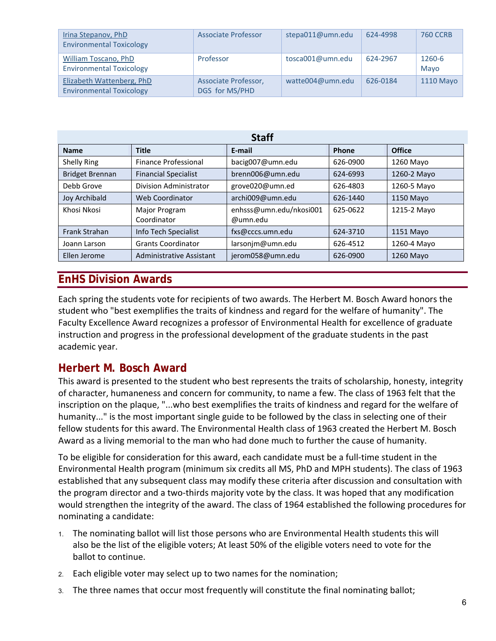| Irina Stepanov, PhD<br><b>Environmental Toxicology</b>       | Associate Professor                    | stepa011@umn.edu | 624-4998 | <b>760 CCRB</b> |
|--------------------------------------------------------------|----------------------------------------|------------------|----------|-----------------|
| William Toscano, PhD<br><b>Environmental Toxicology</b>      | Professor                              | tosca001@umn.edu | 624-2967 | 1260-6<br>Mayo  |
| Elizabeth Wattenberg, PhD<br><b>Environmental Toxicology</b> | Associate Professor,<br>DGS for MS/PHD | watte004@umn.edu | 626-0184 | 1110 Mayo       |

| <b>Staff</b>           |                              |                                     |          |               |  |  |  |  |  |
|------------------------|------------------------------|-------------------------------------|----------|---------------|--|--|--|--|--|
| <b>Name</b>            | <b>Title</b>                 | E-mail                              | Phone    | <b>Office</b> |  |  |  |  |  |
| Shelly Ring            | <b>Finance Professional</b>  | bacig007@umn.edu                    | 626-0900 | 1260 Mayo     |  |  |  |  |  |
| <b>Bridget Brennan</b> | <b>Financial Specialist</b>  | brenn006@umn.edu                    | 624-6993 | 1260-2 Mayo   |  |  |  |  |  |
| Debb Grove             | Division Administrator       | grove020@umn.ed                     | 626-4803 | 1260-5 Mayo   |  |  |  |  |  |
| <b>Joy Archibald</b>   | Web Coordinator              | archi009@umn.edu                    | 626-1440 | 1150 Mayo     |  |  |  |  |  |
| Khosi Nkosi            | Major Program<br>Coordinator | enhsss@umn.edu/nkosi001<br>@umn.edu | 625-0622 | 1215-2 Mayo   |  |  |  |  |  |
| <b>Frank Strahan</b>   | Info Tech Specialist         | fxs@cccs.umn.edu                    | 624-3710 | 1151 Mayo     |  |  |  |  |  |
| Joann Larson           | <b>Grants Coordinator</b>    | larsonjm@umn.edu                    | 626-4512 | 1260-4 Mayo   |  |  |  |  |  |
| Ellen Jerome           | Administrative Assistant     | jerom058@umn.edu                    | 626-0900 | 1260 Mayo     |  |  |  |  |  |

## **EnHS Division Awards**

Each spring the students vote for recipients of two awards. The Herbert M. Bosch Award honors the student who "best exemplifies the traits of kindness and regard for the welfare of humanity". The Faculty Excellence Award recognizes a professor of Environmental Health for excellence of graduate instruction and progress in the professional development of the graduate students in the past academic year.

## **Herbert M. Bosch Award**

This award is presented to the student who best represents the traits of scholarship, honesty, integrity of character, humaneness and concern for community, to name a few. The class of 1963 felt that the inscription on the plaque, "...who best exemplifies the traits of kindness and regard for the welfare of humanity..." is the most important single guide to be followed by the class in selecting one of their fellow students for this award. The Environmental Health class of 1963 created the Herbert M. Bosch Award as a living memorial to the man who had done much to further the cause of humanity.

To be eligible for consideration for this award, each candidate must be a full‐time student in the Environmental Health program (minimum six credits all MS, PhD and MPH students). The class of 1963 established that any subsequent class may modify these criteria after discussion and consultation with the program director and a two‐thirds majority vote by the class. It was hoped that any modification would strengthen the integrity of the award. The class of 1964 established the following procedures for nominating a candidate:

- 1. The nominating ballot will list those persons who are Environmental Health students this will also be the list of the eligible voters; At least 50% of the eligible voters need to vote for the ballot to continue.
- 2. Each eligible voter may select up to two names for the nomination;
- 3. The three names that occur most frequently will constitute the final nominating ballot;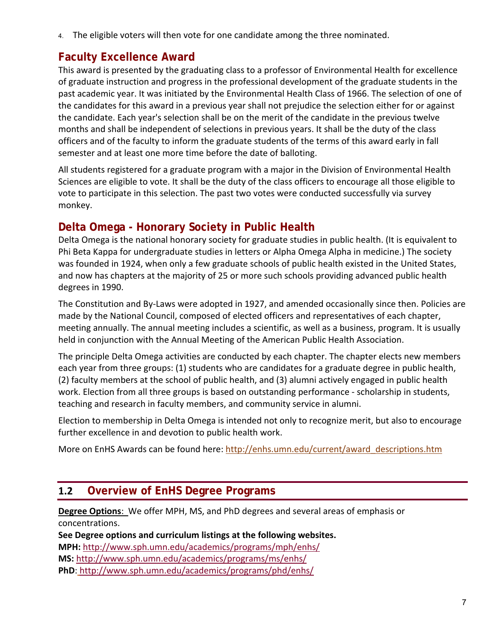4. The eligible voters will then vote for one candidate among the three nominated.

## **Faculty Excellence Award**

This award is presented by the graduating class to a professor of Environmental Health for excellence of graduate instruction and progress in the professional development of the graduate students in the past academic year. It was initiated by the Environmental Health Class of 1966. The selection of one of the candidates for this award in a previous year shall not prejudice the selection either for or against the candidate. Each year's selection shall be on the merit of the candidate in the previous twelve months and shall be independent of selections in previous years. It shall be the duty of the class officers and of the faculty to inform the graduate students of the terms of this award early in fall semester and at least one more time before the date of balloting.

All students registered for a graduate program with a major in the Division of Environmental Health Sciences are eligible to vote. It shall be the duty of the class officers to encourage all those eligible to vote to participate in this selection. The past two votes were conducted successfully via survey monkey.

## **Delta Omega - Honorary Society in Public Health**

Delta Omega is the national honorary society for graduate studies in public health. (It is equivalent to Phi Beta Kappa for undergraduate studies in letters or Alpha Omega Alpha in medicine.) The society was founded in 1924, when only a few graduate schools of public health existed in the United States, and now has chapters at the majority of 25 or more such schools providing advanced public health degrees in 1990.

The Constitution and By‐Laws were adopted in 1927, and amended occasionally since then. Policies are made by the National Council, composed of elected officers and representatives of each chapter, meeting annually. The annual meeting includes a scientific, as well as a business, program. It is usually held in conjunction with the Annual Meeting of the American Public Health Association.

The principle Delta Omega activities are conducted by each chapter. The chapter elects new members each year from three groups: (1) students who are candidates for a graduate degree in public health, (2) faculty members at the school of public health, and (3) alumni actively engaged in public health work. Election from all three groups is based on outstanding performance ‐ scholarship in students, teaching and research in faculty members, and community service in alumni.

Election to membership in Delta Omega is intended not only to recognize merit, but also to encourage further excellence in and devotion to public health work.

More on EnHS Awards can be found here: http://enhs.umn.edu/current/award\_descriptions.htm

## **1.2 Overview of EnHS Degree Programs**

**Degree Options**: We offer MPH, MS, and PhD degrees and several areas of emphasis or concentrations.

**See Degree options and curriculum listings at the following websites. MPH:** http://www.sph.umn.edu/academics/programs/mph/enhs/ **MS:** http://www.sph.umn.edu/academics/programs/ms/enhs/ **PhD**: http://www.sph.umn.edu/academics/programs/phd/enhs/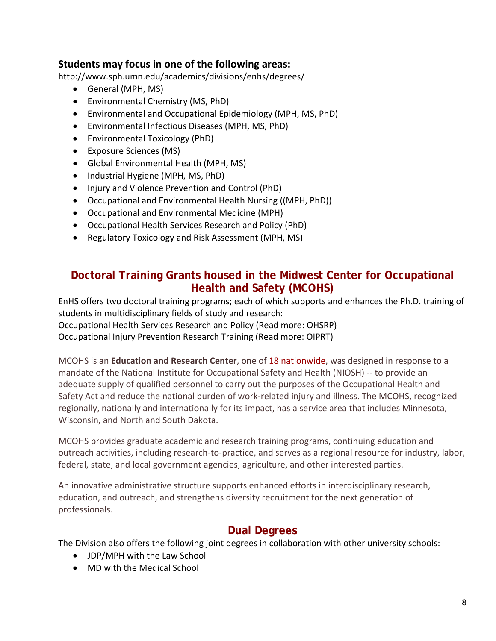#### **Students may focus in one of the following areas:**

http://www.sph.umn.edu/academics/divisions/enhs/degrees/

- General (MPH, MS)
- Environmental Chemistry (MS, PhD)
- Environmental and Occupational Epidemiology (MPH, MS, PhD)
- Environmental Infectious Diseases (MPH, MS, PhD)
- Environmental Toxicology (PhD)
- Exposure Sciences (MS)
- Global Environmental Health (MPH, MS)
- Industrial Hygiene (MPH, MS, PhD)
- Injury and Violence Prevention and Control (PhD)
- Occupational and Environmental Health Nursing ((MPH, PhD))
- Occupational and Environmental Medicine (MPH)
- Occupational Health Services Research and Policy (PhD)
- Regulatory Toxicology and Risk Assessment (MPH, MS)

## **Doctoral Training Grants housed in the Midwest Center for Occupational Health and Safety (MCOHS)**

EnHS offers two doctoral training programs; each of which supports and enhances the Ph.D. training of students in multidisciplinary fields of study and research:

Occupational Health Services Research and Policy (Read more: OHSRP)

Occupational Injury Prevention Research Training (Read more: OIPRT)

MCOHS is an **Education and Research Center**, one of 18 nationwide, was designed in response to a mandate of the National Institute for Occupational Safety and Health (NIOSH) ‐‐ to provide an adequate supply of qualified personnel to carry out the purposes of the Occupational Health and Safety Act and reduce the national burden of work‐related injury and illness. The MCOHS, recognized regionally, nationally and internationally for its impact, has a service area that includes Minnesota, Wisconsin, and North and South Dakota.

MCOHS provides graduate academic and research training programs, continuing education and outreach activities, including research‐to‐practice, and serves as a regional resource for industry, labor, federal, state, and local government agencies, agriculture, and other interested parties.

An innovative administrative structure supports enhanced efforts in interdisciplinary research, education, and outreach, and strengthens diversity recruitment for the next generation of professionals.

## **Dual Degrees**

The Division also offers the following joint degrees in collaboration with other university schools:

- JDP/MPH with the Law School
- MD with the Medical School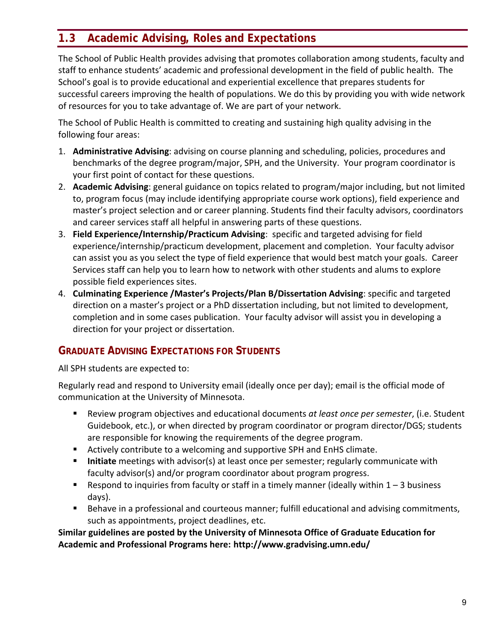## **1.3 Academic Advising, Roles and Expectations**

The School of Public Health provides advising that promotes collaboration among students, faculty and staff to enhance students' academic and professional development in the field of public health. The School's goal is to provide educational and experiential excellence that prepares students for successful careers improving the health of populations. We do this by providing you with wide network of resources for you to take advantage of. We are part of your network.

The School of Public Health is committed to creating and sustaining high quality advising in the following four areas:

- 1. **Administrative Advising**: advising on course planning and scheduling, policies, procedures and benchmarks of the degree program/major, SPH, and the University. Your program coordinator is your first point of contact for these questions.
- 2. **Academic Advising**: general guidance on topics related to program/major including, but not limited to, program focus (may include identifying appropriate course work options), field experience and master's project selection and or career planning. Students find their faculty advisors, coordinators and career services staff all helpful in answering parts of these questions.
- 3. **Field Experience/Internship/Practicum Advising**: specific and targeted advising for field experience/internship/practicum development, placement and completion. Your faculty advisor can assist you as you select the type of field experience that would best match your goals. Career Services staff can help you to learn how to network with other students and alums to explore possible field experiences sites.
- 4. **Culminating Experience /Master's Projects/Plan B/Dissertation Advising**: specific and targeted direction on a master's project or a PhD dissertation including, but not limited to development, completion and in some cases publication. Your faculty advisor will assist you in developing a direction for your project or dissertation.

## **GRADUATE ADVISING EXPECTATIONS FOR STUDENTS**

All SPH students are expected to:

Regularly read and respond to University email (ideally once per day); email is the official mode of communication at the University of Minnesota.

- Review program objectives and educational documents *at least once per semester*, (i.e. Student Guidebook, etc.), or when directed by program coordinator or program director/DGS; students are responsible for knowing the requirements of the degree program.
- Actively contribute to a welcoming and supportive SPH and EnHS climate.
- **Initiate** meetings with advisor(s) at least once per semester; regularly communicate with faculty advisor(s) and/or program coordinator about program progress.
- Respond to inquiries from faculty or staff in a timely manner (ideally within  $1 3$  business days).
- **Behave in a professional and courteous manner; fulfill educational and advising commitments,** such as appointments, project deadlines, etc.

**Similar guidelines are posted by the University of Minnesota Office of Graduate Education for Academic and Professional Programs here: http://www.gradvising.umn.edu/**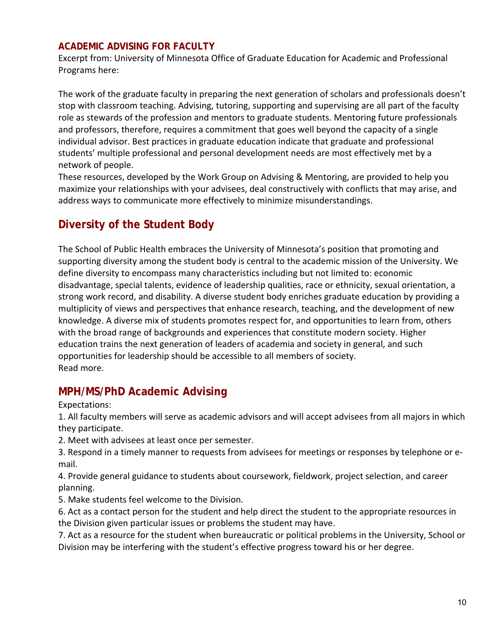#### **ACADEMIC ADVISING FOR FACULTY**

Excerpt from: University of Minnesota Office of Graduate Education for Academic and Professional Programs here:

The work of the graduate faculty in preparing the next generation of scholars and professionals doesn't stop with classroom teaching. Advising, tutoring, supporting and supervising are all part of the faculty role as stewards of the profession and mentors to graduate students. Mentoring future professionals and professors, therefore, requires a commitment that goes well beyond the capacity of a single individual advisor. Best practices in graduate education indicate that graduate and professional students' multiple professional and personal development needs are most effectively met by a network of people.

These resources, developed by the Work Group on Advising & Mentoring, are provided to help you maximize your relationships with your advisees, deal constructively with conflicts that may arise, and address ways to communicate more effectively to minimize misunderstandings.

## **Diversity of the Student Body**

The School of Public Health embraces the University of Minnesota's position that promoting and supporting diversity among the student body is central to the academic mission of the University. We define diversity to encompass many characteristics including but not limited to: economic disadvantage, special talents, evidence of leadership qualities, race or ethnicity, sexual orientation, a strong work record, and disability. A diverse student body enriches graduate education by providing a multiplicity of views and perspectives that enhance research, teaching, and the development of new knowledge. A diverse mix of students promotes respect for, and opportunities to learn from, others with the broad range of backgrounds and experiences that constitute modern society. Higher education trains the next generation of leaders of academia and society in general, and such opportunities for leadership should be accessible to all members of society. Read more.

## **MPH/MS/PhD Academic Advising**

Expectations:

1. All faculty members will serve as academic advisors and will accept advisees from all majors in which they participate.

2. Meet with advisees at least once per semester.

3. Respond in a timely manner to requests from advisees for meetings or responses by telephone or e‐ mail.

4. Provide general guidance to students about coursework, fieldwork, project selection, and career planning.

5. Make students feel welcome to the Division.

6. Act as a contact person for the student and help direct the student to the appropriate resources in the Division given particular issues or problems the student may have.

7. Act as a resource for the student when bureaucratic or political problems in the University, School or Division may be interfering with the student's effective progress toward his or her degree.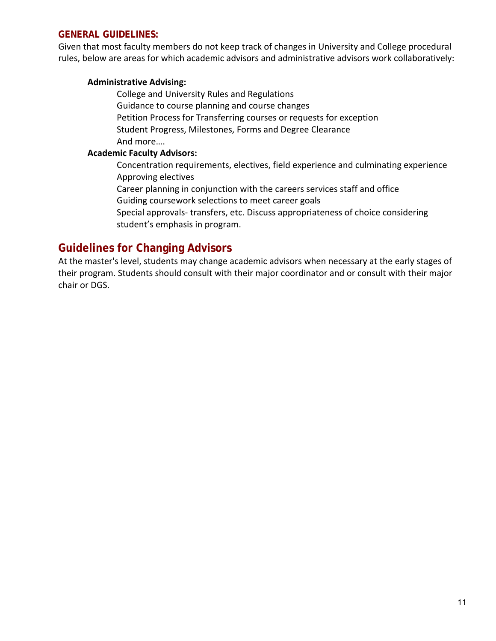#### **GENERAL GUIDELINES:**

Given that most faculty members do not keep track of changes in University and College procedural rules, below are areas for which academic advisors and administrative advisors work collaboratively:

#### **Administrative Advising:**

College and University Rules and Regulations Guidance to course planning and course changes Petition Process for Transferring courses or requests for exception Student Progress, Milestones, Forms and Degree Clearance And more….

#### **Academic Faculty Advisors:**

Concentration requirements, electives, field experience and culminating experience Approving electives

Career planning in conjunction with the careers services staff and office

Guiding coursework selections to meet career goals

Special approvals‐ transfers, etc. Discuss appropriateness of choice considering student's emphasis in program.

## **Guidelines for Changing Advisors**

At the master's level, students may change academic advisors when necessary at the early stages of their program. Students should consult with their major coordinator and or consult with their major chair or DGS.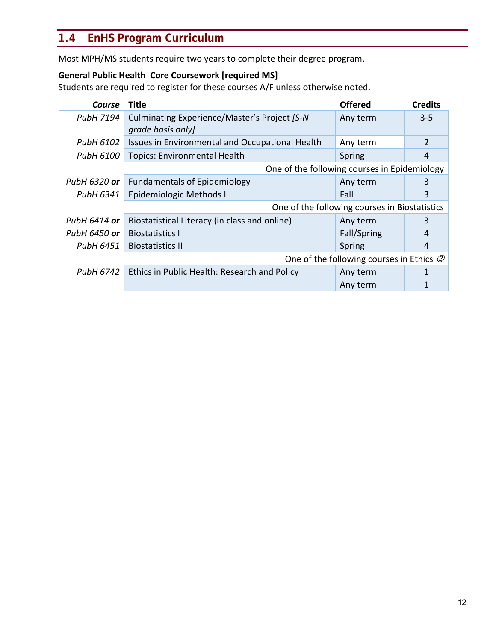## **1.4 EnHS Program Curriculum**

Most MPH/MS students require two years to complete their degree program.

#### **General Public Health Core Coursework [required MS]**

Students are required to register for these courses A/F unless otherwise noted.

| Course              | Title                                                              | <b>Offered</b>                                   | <b>Credits</b> |
|---------------------|--------------------------------------------------------------------|--------------------------------------------------|----------------|
| PubH 7194           | Culminating Experience/Master's Project [S-N]<br>grade basis only] | Any term                                         | $3 - 5$        |
| PubH 6102           | Issues in Environmental and Occupational Health                    | Any term                                         | $\overline{2}$ |
| PubH 6100           | <b>Topics: Environmental Health</b>                                | Spring                                           | 4              |
|                     | One of the following courses in Epidemiology                       |                                                  |                |
| PubH 6320 <b>or</b> | <b>Fundamentals of Epidemiology</b>                                | Any term                                         | 3              |
| PubH 6341           | Epidemiologic Methods I                                            | Fall                                             | 3              |
|                     |                                                                    | One of the following courses in Biostatistics    |                |
| PubH 6414 <b>or</b> | Biostatistical Literacy (in class and online)                      | Any term                                         | 3              |
| PubH 6450 <b>or</b> | <b>Biostatistics I</b>                                             | Fall/Spring                                      | 4              |
| PubH 6451           | <b>Biostatistics II</b>                                            | Spring                                           | 4              |
|                     |                                                                    | One of the following courses in Ethics $\oslash$ |                |
| PubH 6742           | Ethics in Public Health: Research and Policy                       | Any term                                         |                |
|                     |                                                                    | Any term                                         |                |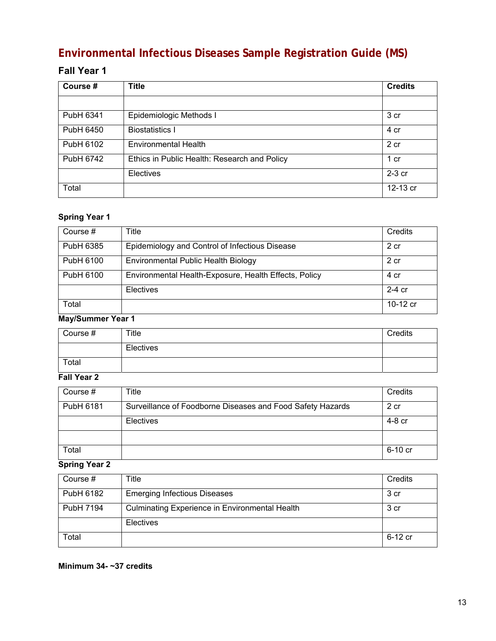## **Environmental Infectious Diseases Sample Registration Guide (MS)**

## **Fall Year 1**

| Course #         | <b>Title</b>                                 | <b>Credits</b> |
|------------------|----------------------------------------------|----------------|
|                  |                                              |                |
| PubH 6341        | Epidemiologic Methods I                      | 3 cr           |
| PubH 6450        | <b>Biostatistics I</b>                       | 4 cr           |
| PubH 6102        | <b>Environmental Health</b>                  | 2 cr           |
| <b>PubH 6742</b> | Ethics in Public Health: Research and Policy | 1 cr           |
|                  | Electives                                    | $2-3$ cr       |
| Total            |                                              | 12-13 cr       |

#### **Spring Year 1**

| Course #  | Title                                                 | Credits  |
|-----------|-------------------------------------------------------|----------|
| PubH 6385 | Epidemiology and Control of Infectious Disease        | 2 cr     |
| PubH 6100 | Environmental Public Health Biology                   | 2 cr     |
| PubH 6100 | Environmental Health-Exposure, Health Effects, Policy | 4 cr     |
|           | Electives                                             | $2-4$ cr |
| Total     |                                                       | 10-12 cr |

**May/Summer Year 1** 

| Course # | Title     | Credits |
|----------|-----------|---------|
|          | Electives |         |
| Total    |           |         |

#### **Fall Year 2**

| Course #  | Title                                                      | Credits |
|-----------|------------------------------------------------------------|---------|
| PubH 6181 | Surveillance of Foodborne Diseases and Food Safety Hazards | 2 cr    |
|           | Electives                                                  | 4-8 cr  |
|           |                                                            |         |
| Total     |                                                            | 6-10 cr |

**Spring Year 2** 

| Course #  | Title                                                 | Credits |
|-----------|-------------------------------------------------------|---------|
| PubH 6182 | <b>Emerging Infectious Diseases</b>                   | 3 cr    |
| PubH 7194 | <b>Culminating Experience in Environmental Health</b> | 3 cr    |
|           | <b>Electives</b>                                      |         |
| Total     |                                                       | 6-12 cr |

#### **Minimum 34- ~37 credits**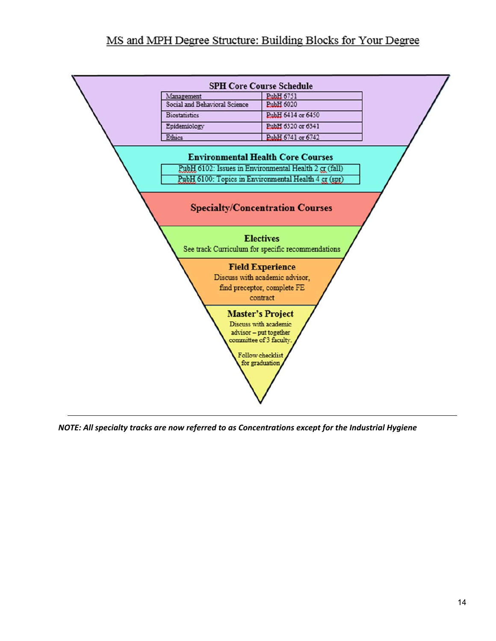## MS and MPH Degree Structure: Building Blocks for Your Degree



*NOTE: All specialty tracks are now referred to as Concentrations except for the Industrial Hygiene*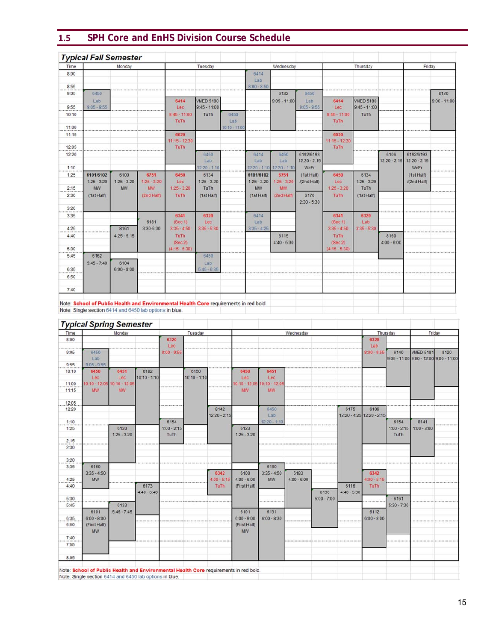## **1.5 SPH Core and EnHS Division Course Schedule**

| Time         |               | Monday        |               |                           | Tuesday          |                 |                | Wednesday      |                             |                         | Thursday         |                        | Friday                      |                |
|--------------|---------------|---------------|---------------|---------------------------|------------------|-----------------|----------------|----------------|-----------------------------|-------------------------|------------------|------------------------|-----------------------------|----------------|
| 8:00         |               |               |               |                           |                  |                 | 6414           |                |                             |                         |                  |                        |                             |                |
|              |               |               |               |                           |                  |                 | Lab            |                |                             |                         |                  |                        |                             |                |
| 8:55         |               |               |               |                           |                  |                 | $8:00 - 8:50$  |                |                             |                         |                  |                        |                             |                |
| 9:05         | 6450          |               |               |                           |                  |                 |                | 6132           | 6450                        |                         |                  |                        |                             | 8120           |
|              | Lab           |               |               | 6414                      | <b>VMED 5180</b> |                 |                | $9:05 - 11:00$ | Lab                         | 6414                    | <b>VMED 5180</b> |                        |                             | $9:00 - 11:00$ |
| 9:55<br>     | $9:05 - 9:55$ |               |               | Lec                       | $9:45 - 11:00$   |                 |                |                | $9:05 - 9:55$               | Lec                     | $9:45 - 11:00$   |                        |                             |                |
| 10:10        |               |               |               | $9:45 - 11:00$            | TuTh             | 6450            |                |                |                             | $9:45 - 11:00$          | TuTh             |                        |                             |                |
|              |               |               |               | TuTh                      |                  | Lab             |                |                |                             | TuTh                    |                  |                        |                             |                |
| 11:00<br>    |               |               |               |                           |                  | $10:10 - 11:00$ |                |                |                             |                         |                  |                        |                             |                |
| 11:15        |               |               |               | 6020                      |                  |                 |                |                |                             | 6020                    |                  |                        |                             |                |
|              |               |               |               | 11:15 - 12:30<br>TuTh     |                  |                 |                |                |                             | $11:15 - 12:30$<br>TuTh |                  |                        |                             |                |
| 12:05        |               |               |               |                           |                  |                 |                |                |                             |                         |                  |                        |                             |                |
| 12:20        |               |               |               |                           | 6450<br>Lab      |                 | 6414<br>Lab    | 6450<br>Lab    | 6192/6193<br>$12.20 - 2.15$ |                         |                  | 6106<br>$12:20 - 2:15$ | 6192/6193<br>$12:20 - 2:15$ |                |
|              |               |               |               |                           | $12:20 - 1:10$   |                 | $12:20 - 1:10$ | $12.20 - 1:10$ | WeFr                        |                         |                  |                        | WeFr                        |                |
| 1:10<br>1:25 | 6101/6102     | 6100          | 6751          | 6450                      | 6134             |                 | 6101/6102      | 6751           | (1st Half)                  | 6450                    | 6134             |                        | (1st Half)                  |                |
|              | $1:25 - 3:20$ | $1:25 - 3:20$ | $1:25 - 3:20$ | Lec                       | $1:25 - 3:20$    |                 | $1:25 - 3:20$  | $1:25 - 3:20$  | /(2nd Half)                 | Lec                     | $1:25 - 3:20$    |                        | /(2nd Half)                 |                |
| 2:15         | MW            | <b>MW</b>     | <b>MW</b>     | $1:25 - 3:20$             | TuTh             |                 | <b>MW</b>      | <b>MW</b>      |                             | $1:25 - 3:20$           | TuTh             |                        |                             |                |
| 2:30         | (1st Half)    |               | (2nd Half)    | TuTh                      | (1st Half)       |                 | (1st Half)     | (2nd Half)     | 6170                        | TuTh                    | (1st Half)       |                        |                             |                |
|              |               |               |               |                           |                  |                 |                |                | $2:30 - 5:30$               |                         |                  |                        |                             |                |
| 3:20<br>     |               |               |               |                           |                  |                 |                |                |                             |                         |                  |                        |                             |                |
| 3:35         |               |               |               | 6341                      | 6320             |                 | 6414           |                |                             | 6341                    | 6320             |                        |                             |                |
|              |               |               | 6181          | (Sec 1)                   | Lec              |                 | Lab            |                |                             | (Sec 1)                 | Lab              |                        |                             |                |
| 4:25         |               | 8161          | $3:30 - 5:30$ | $3:35 - 4:50$             | $3:35 - 5:30$    |                 | $3:35 - 4:25$  |                |                             | $3:35 - 4:50$           | $3:35 - 5:30$    |                        |                             |                |
| 4:40         |               | $4:25 - 5:15$ |               | TuTh                      |                  |                 |                | 6115           |                             | TuTh                    |                  | 8160                   |                             |                |
|              |               |               |               | (Sec2)<br>$(4:15 - 5:30)$ |                  |                 |                | $4:40 - 5:30$  |                             | (Sec <sub>2</sub> )     |                  | $4:00 - 6:00$          |                             |                |
| 5:30         | 6162          |               |               |                           |                  |                 |                |                |                             | $(4:15 - 5:30)$         |                  |                        |                             |                |
| 5:45         | $5:45 - 7:40$ | 6104          |               |                           | 6450<br>Lab      |                 |                |                |                             |                         |                  |                        |                             |                |
| 6:35         |               | $6:00 - 8:00$ |               |                           | $5:45 - 6:35$    |                 |                |                |                             |                         |                  |                        |                             |                |
| 6:50         |               |               |               |                           |                  |                 |                |                |                             |                         |                  |                        |                             |                |
|              |               |               |               |                           |                  |                 |                |                |                             |                         |                  |                        |                             |                |
| 7:40         |               |               |               |                           |                  |                 |                |                |                             |                         |                  |                        |                             |                |

Note: School of Public Health and Environmental Health Core requirements in red bold.<br>Note: Single section 6414 and 6450 lab options in blue.

| Time             |               | Monday                      |                |               | Tuesday        |                |                             |                 | Wednesday     |               |               |                           | Thursday      | Friday                                                     |      |
|------------------|---------------|-----------------------------|----------------|---------------|----------------|----------------|-----------------------------|-----------------|---------------|---------------|---------------|---------------------------|---------------|------------------------------------------------------------|------|
| 8:00             |               |                             |                | 6320<br>Lec   |                |                |                             |                 |               |               |               | 6320<br>Lab               |               |                                                            |      |
| ********<br>9:05 | 6450<br>Lab   |                             |                | $8:00 - 9:55$ |                |                |                             |                 |               |               |               | $8:00 - 9:55$             | 6140          | <b>VMED 5181</b><br>9:05 - 11:00 9:00 - 12:00 9:00 - 11:00 | 8120 |
| 9:55             | $9:05 - 9:55$ |                             |                |               |                |                |                             |                 |               |               |               |                           |               |                                                            |      |
| 10:10            | 6450          | 6451                        | 6182           |               | 6150           |                | 6450                        | 6451            |               |               |               |                           |               |                                                            |      |
|                  | Lec           | Lec                         | $10:10 - 1:10$ |               | $10:10 - 1:10$ |                | Lec                         | Lec             |               |               |               |                           |               |                                                            |      |
| 11:00            |               | 10:10 - 12:05 10:10 - 12:05 |                |               |                |                | 10:10 - 12:05 10:10 - 12:05 |                 |               |               |               |                           |               |                                                            |      |
| 11:15            | <b>MW</b>     | <b>MW</b>                   |                |               |                |                | <b>MW</b>                   | MW              |               |               |               |                           |               |                                                            |      |
|                  |               |                             |                |               |                |                |                             |                 |               |               |               |                           |               |                                                            |      |
| 12:05            |               |                             |                |               |                |                |                             |                 |               |               |               |                           |               |                                                            |      |
| 12:20            |               |                             |                |               |                | 8142           |                             | 6450            |               |               | 6175          | 6106                      |               |                                                            |      |
|                  |               |                             |                |               |                | $12:20 - 2:15$ |                             | Lab             |               |               |               | 12:20 - 4:25 12:20 - 2:15 |               |                                                            |      |
| 1:10             |               |                             |                | 6154          |                |                |                             | $12:20 - 1:10$  |               |               |               |                           | 6154          | 8141                                                       |      |
| 1:25             |               | 6120                        |                | $1:00 - 2:15$ |                |                | 6123                        |                 |               |               |               |                           | $1:00 - 2:15$ | $1:00 - 3:00$                                              |      |
|                  |               | $1:25 - 3:20$               |                | TuTh          |                |                | $1:25 - 3:20$               |                 |               |               |               |                           | TuTh          |                                                            |      |
| 2:15             |               |                             |                |               |                |                |                             |                 |               |               |               |                           |               |                                                            |      |
| 2:30             |               |                             |                |               |                |                |                             |                 |               |               |               |                           |               |                                                            |      |
|                  |               |                             |                |               |                |                |                             |                 |               |               |               |                           |               |                                                            |      |
| 3:20             |               |                             |                |               |                |                |                             |                 |               |               |               |                           |               |                                                            |      |
| 3:35             | 6160          |                             |                |               |                |                |                             | 6160            |               |               |               |                           |               |                                                            |      |
|                  | $3:35 - 4:50$ |                             |                |               |                | 6342           | 6100                        | $3:35 - 4:50$   | 6183          |               |               | 6342                      |               |                                                            |      |
| 4:25             | <b>MW</b>     |                             |                |               |                | $4.00 - 5:15$  | $4:00 - 6:00$               | <b>MW</b>       | $4:00 - 6:00$ |               |               | $4:00 - 5:15$             |               |                                                            |      |
| 4:40             |               |                             | 6173           |               |                | <b>TuTh</b>    | (First Half)                |                 |               |               | 6116          | TuTh                      |               |                                                            |      |
|                  |               |                             | $4:40 - 6:40$  |               |                |                |                             |                 |               | 6130          | $4:40 - 5:30$ |                           |               |                                                            |      |
| 5:30             |               |                             |                |               |                |                |                             |                 |               | $5:00 - 7:00$ |               |                           | 6161          |                                                            |      |
| 5:45             |               | 6133                        |                |               |                |                |                             | *************** |               |               |               |                           | $5:30 - 7:30$ |                                                            |      |
|                  | 6101          | $5:45 - 7:45$               |                |               |                |                | 6101                        | 6131            |               |               |               | 6112                      |               |                                                            |      |
|                  |               |                             |                |               |                |                |                             |                 |               |               |               |                           |               |                                                            |      |
| 6:35             | $6:00 - 8:00$ |                             |                |               |                |                | $6:00 - 9:00$               | $6:00 - 8:30$   |               |               |               | $6:00 - 8:00$             |               |                                                            |      |
| 6:50             | (First Half)  |                             |                |               |                |                | (First Half)                |                 |               |               |               |                           |               |                                                            |      |
|                  | <b>MW</b>     |                             |                |               |                |                | <b>MW</b>                   |                 |               |               |               |                           |               |                                                            |      |
| 7:40             |               |                             |                |               |                |                |                             |                 |               |               |               |                           |               |                                                            |      |
| 7:55             |               |                             |                |               |                |                |                             |                 |               |               |               |                           |               |                                                            |      |
|                  |               |                             |                |               |                |                |                             |                 |               |               |               |                           |               |                                                            |      |
| 8:05             |               |                             |                |               |                |                |                             |                 |               |               |               |                           |               |                                                            |      |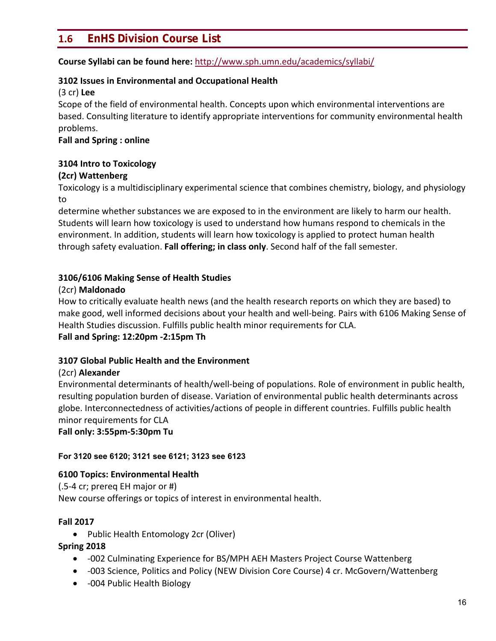## **1.6 EnHS Division Course List**

#### **Course Syllabi can be found here:** http://www.sph.umn.edu/academics/syllabi/

#### **3102 Issues in Environmental and Occupational Health**

#### (3 cr) **Lee**

Scope of the field of environmental health. Concepts upon which environmental interventions are based. Consulting literature to identify appropriate interventions for community environmental health problems.

**Fall and Spring : online** 

#### **3104 Intro to Toxicology (2cr) Wattenberg**

Toxicology is a multidisciplinary experimental science that combines chemistry, biology, and physiology to

determine whether substances we are exposed to in the environment are likely to harm our health. Students will learn how toxicology is used to understand how humans respond to chemicals in the environment. In addition, students will learn how toxicology is applied to protect human health through safety evaluation. **Fall offering; in class only**. Second half of the fall semester.

#### **3106/6106 Making Sense of Health Studies**

#### (2cr) **Maldonado**

How to critically evaluate health news (and the health research reports on which they are based) to make good, well informed decisions about your health and well-being. Pairs with 6106 Making Sense of Health Studies discussion. Fulfills public health minor requirements for CLA. **Fall and Spring: 12:20pm ‐2:15pm Th**

#### **3107 Global Public Health and the Environment**

#### (2cr) **Alexander**

Environmental determinants of health/well‐being of populations. Role of environment in public health, resulting population burden of disease. Variation of environmental public health determinants across globe. Interconnectedness of activities/actions of people in different countries. Fulfills public health minor requirements for CLA

**Fall only: 3:55pm‐5:30pm Tu** 

#### **For 3120 see 6120; 3121 see 6121; 3123 see 6123**

#### **6100 Topics: Environmental Health**

(.5‐4 cr; prereq EH major or #) New course offerings or topics of interest in environmental health.

#### **Fall 2017**

• Public Health Entomology 2cr (Oliver)

#### **Spring 2018**

- - 002 Culminating Experience for BS/MPH AEH Masters Project Course Wattenberg
- - 003 Science, Politics and Policy (NEW Division Core Course) 4 cr. McGovern/Wattenberg
- -004 Public Health Biology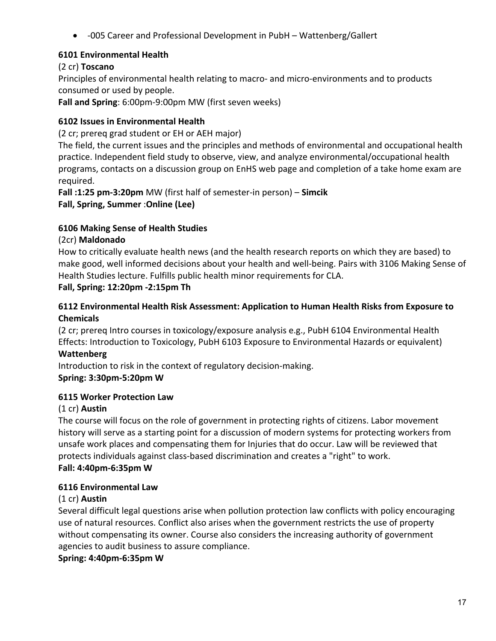• -005 Career and Professional Development in PubH - Wattenberg/Gallert

#### **6101 Environmental Health**

#### (2 cr) **Toscano**

Principles of environmental health relating to macro‐ and micro‐environments and to products consumed or used by people.

**Fall and Spring**: 6:00pm‐9:00pm MW (first seven weeks)

#### **6102 Issues in Environmental Health**

(2 cr; prereq grad student or EH or AEH major)

The field, the current issues and the principles and methods of environmental and occupational health practice. Independent field study to observe, view, and analyze environmental/occupational health programs, contacts on a discussion group on EnHS web page and completion of a take home exam are required.

**Fall :1:25 pm‐3:20pm** MW (first half of semester‐in person) – **Simcik**

**Fall, Spring, Summer** :**Online (Lee)**

#### **6106 Making Sense of Health Studies**

#### (2cr) **Maldonado**

How to critically evaluate health news (and the health research reports on which they are based) to make good, well informed decisions about your health and well-being. Pairs with 3106 Making Sense of Health Studies lecture. Fulfills public health minor requirements for CLA.

#### **Fall, Spring: 12:20pm ‐2:15pm Th**

#### **6112 Environmental Health Risk Assessment: Application to Human Health Risks from Exposure to Chemicals**

(2 cr; prereq Intro courses in toxicology/exposure analysis e.g., PubH 6104 Environmental Health Effects: Introduction to Toxicology, PubH 6103 Exposure to Environmental Hazards or equivalent)

#### **Wattenberg**

Introduction to risk in the context of regulatory decision‐making.

#### **Spring: 3:30pm‐5:20pm W**

#### **6115 Worker Protection Law**

#### (1 cr) **Austin**

The course will focus on the role of government in protecting rights of citizens. Labor movement history will serve as a starting point for a discussion of modern systems for protecting workers from unsafe work places and compensating them for Injuries that do occur. Law will be reviewed that protects individuals against class‐based discrimination and creates a "right" to work. **Fall: 4:40pm‐6:35pm W** 

#### **6116 Environmental Law**

#### (1 cr) **Austin**

Several difficult legal questions arise when pollution protection law conflicts with policy encouraging use of natural resources. Conflict also arises when the government restricts the use of property without compensating its owner. Course also considers the increasing authority of government agencies to audit business to assure compliance.

#### **Spring: 4:40pm‐6:35pm W**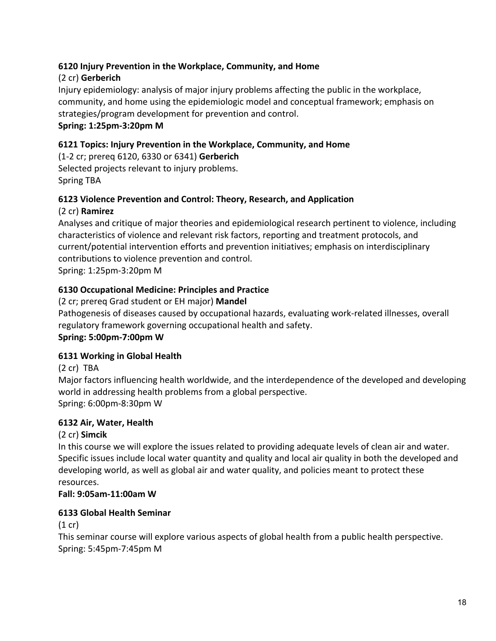#### **6120 Injury Prevention in the Workplace, Community, and Home**

#### (2 cr) **Gerberich**

Injury epidemiology: analysis of major injury problems affecting the public in the workplace, community, and home using the epidemiologic model and conceptual framework; emphasis on strategies/program development for prevention and control.

#### **Spring: 1:25pm‐3:20pm M**

#### **6121 Topics: Injury Prevention in the Workplace, Community, and Home**

(1‐2 cr; prereq 6120, 6330 or 6341) **Gerberich** Selected projects relevant to injury problems. Spring TBA

#### **6123 Violence Prevention and Control: Theory, Research, and Application**

#### (2 cr) **Ramirez**

Analyses and critique of major theories and epidemiological research pertinent to violence, including characteristics of violence and relevant risk factors, reporting and treatment protocols, and current/potential intervention efforts and prevention initiatives; emphasis on interdisciplinary contributions to violence prevention and control.

Spring: 1:25pm‐3:20pm M

#### **6130 Occupational Medicine: Principles and Practice**

(2 cr; prereq Grad student or EH major) **Mandel** Pathogenesis of diseases caused by occupational hazards, evaluating work‐related illnesses, overall regulatory framework governing occupational health and safety. **Spring: 5:00pm‐7:00pm W** 

#### **6131 Working in Global Health**

(2 cr) TBA

Major factors influencing health worldwide, and the interdependence of the developed and developing world in addressing health problems from a global perspective. Spring: 6:00pm‐8:30pm W

#### **6132 Air, Water, Health**

#### (2 cr) **Simcik**

In this course we will explore the issues related to providing adequate levels of clean air and water. Specific issues include local water quantity and quality and local air quality in both the developed and developing world, as well as global air and water quality, and policies meant to protect these resources.

#### **Fall: 9:05am‐11:00am W**

#### **6133 Global Health Seminar**

(1 cr)

This seminar course will explore various aspects of global health from a public health perspective. Spring: 5:45pm‐7:45pm M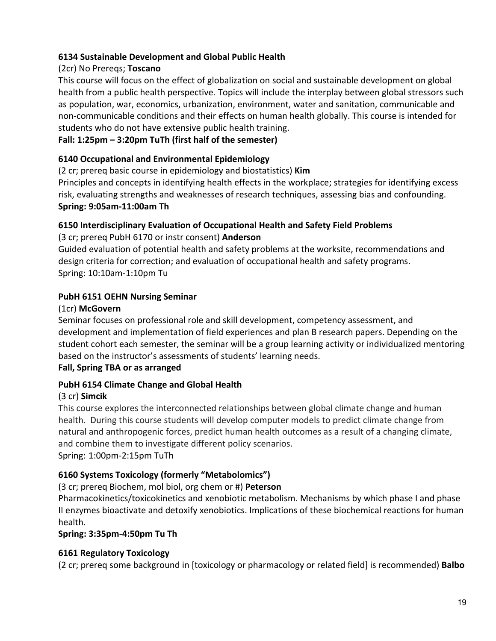#### **6134 Sustainable Development and Global Public Health**

#### (2cr) No Prereqs; **Toscano**

This course will focus on the effect of globalization on social and sustainable development on global health from a public health perspective. Topics will include the interplay between global stressors such as population, war, economics, urbanization, environment, water and sanitation, communicable and non‐communicable conditions and their effects on human health globally. This course is intended for students who do not have extensive public health training.

#### **Fall: 1:25pm – 3:20pm TuTh (first half of the semester)**

#### **6140 Occupational and Environmental Epidemiology**

(2 cr; prereq basic course in epidemiology and biostatistics) **Kim** Principles and concepts in identifying health effects in the workplace; strategies for identifying excess risk, evaluating strengths and weaknesses of research techniques, assessing bias and confounding.

#### **Spring: 9:05am‐11:00am Th**

## **6150 Interdisciplinary Evaluation of Occupational Health and Safety Field Problems**

(3 cr; prereq PubH 6170 or instr consent) **Anderson**

Guided evaluation of potential health and safety problems at the worksite, recommendations and design criteria for correction; and evaluation of occupational health and safety programs. Spring: 10:10am‐1:10pm Tu

#### **PubH 6151 OEHN Nursing Seminar**

#### (1cr) **McGovern**

Seminar focuses on professional role and skill development, competency assessment, and development and implementation of field experiences and plan B research papers. Depending on the student cohort each semester, the seminar will be a group learning activity or individualized mentoring based on the instructor's assessments of students' learning needs.

#### **Fall, Spring TBA or as arranged**

## **PubH 6154 Climate Change and Global Health**

#### (3 cr) **Simcik**

This course explores the interconnected relationships between global climate change and human health. During this course students will develop computer models to predict climate change from natural and anthropogenic forces, predict human health outcomes as a result of a changing climate, and combine them to investigate different policy scenarios. Spring: 1:00pm‐2:15pm TuTh

#### **6160 Systems Toxicology (formerly "Metabolomics")**

(3 cr; prereq Biochem, mol biol, org chem or #) **Peterson**

Pharmacokinetics/toxicokinetics and xenobiotic metabolism. Mechanisms by which phase I and phase II enzymes bioactivate and detoxify xenobiotics. Implications of these biochemical reactions for human health.

#### **Spring: 3:35pm‐4:50pm Tu Th**

#### **6161 Regulatory Toxicology**

(2 cr; prereq some background in [toxicology or pharmacology or related field] is recommended) **Balbo**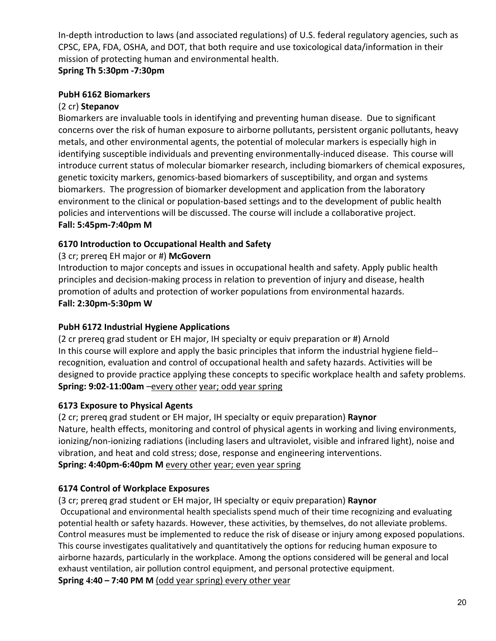In-depth introduction to laws (and associated regulations) of U.S. federal regulatory agencies, such as CPSC, EPA, FDA, OSHA, and DOT, that both require and use toxicological data/information in their mission of protecting human and environmental health.

#### **Spring Th 5:30pm ‐7:30pm**

#### **PubH 6162 Biomarkers**

#### (2 cr) **Stepanov**

Biomarkers are invaluable tools in identifying and preventing human disease. Due to significant concerns over the risk of human exposure to airborne pollutants, persistent organic pollutants, heavy metals, and other environmental agents, the potential of molecular markers is especially high in identifying susceptible individuals and preventing environmentally-induced disease. This course will introduce current status of molecular biomarker research, including biomarkers of chemical exposures, genetic toxicity markers, genomics‐based biomarkers of susceptibility, and organ and systems biomarkers. The progression of biomarker development and application from the laboratory environment to the clinical or population‐based settings and to the development of public health policies and interventions will be discussed. The course will include a collaborative project. **Fall: 5:45pm‐7:40pm M**

#### **6170 Introduction to Occupational Health and Safety**

#### (3 cr; prereq EH major or #) **McGovern**

Introduction to major concepts and issues in occupational health and safety. Apply public health principles and decision‐making process in relation to prevention of injury and disease, health promotion of adults and protection of worker populations from environmental hazards. **Fall: 2:30pm‐5:30pm W** 

#### **PubH 6172 Industrial Hygiene Applications**

(2 cr prereq grad student or EH major, IH specialty or equiv preparation or #) Arnold In this course will explore and apply the basic principles that inform the industrial hygiene field‐‐ recognition, evaluation and control of occupational health and safety hazards. Activities will be designed to provide practice applying these concepts to specific workplace health and safety problems. **Spring: 9:02‐11:00am** –every other year; odd year spring

#### **6173 Exposure to Physical Agents**

(2 cr; prereq grad student or EH major, IH specialty or equiv preparation) **Raynor** Nature, health effects, monitoring and control of physical agents in working and living environments, ionizing/non‐ionizing radiations (including lasers and ultraviolet, visible and infrared light), noise and vibration, and heat and cold stress; dose, response and engineering interventions. **Spring: 4:40pm‐6:40pm M** every other year; even year spring

#### **6174 Control of Workplace Exposures**

(3 cr; prereq grad student or EH major, IH specialty or equiv preparation) **Raynor**

Occupational and environmental health specialists spend much of their time recognizing and evaluating potential health or safety hazards. However, these activities, by themselves, do not alleviate problems. Control measures must be implemented to reduce the risk of disease or injury among exposed populations. This course investigates qualitatively and quantitatively the options for reducing human exposure to airborne hazards, particularly in the workplace. Among the options considered will be general and local exhaust ventilation, air pollution control equipment, and personal protective equipment. **Spring 4:40 – 7:40 PM M** (odd year spring) every other year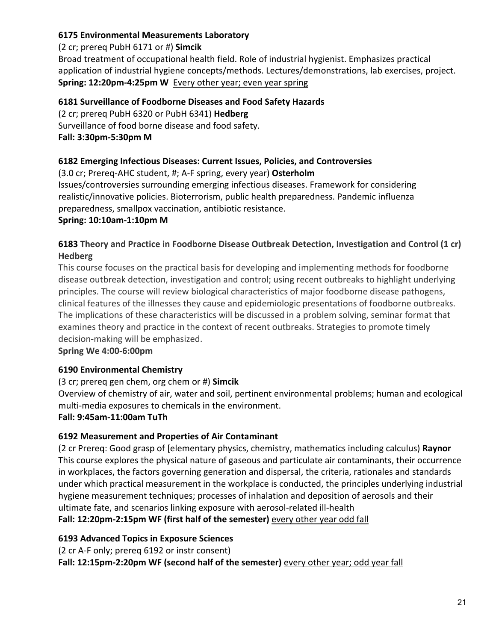#### **6175 Environmental Measurements Laboratory**

#### (2 cr; prereq PubH 6171 or #) **Simcik**

Broad treatment of occupational health field. Role of industrial hygienist. Emphasizes practical application of industrial hygiene concepts/methods. Lectures/demonstrations, lab exercises, project. Spring: 12:20pm-4:25pm W Every other year; even year spring

#### **6181 Surveillance of Foodborne Diseases and Food Safety Hazards**

(2 cr; prereq PubH 6320 or PubH 6341) **Hedberg**

Surveillance of food borne disease and food safety.

**Fall: 3:30pm‐5:30pm M** 

#### **6182 Emerging Infectious Diseases: Current Issues, Policies, and Controversies**

(3.0 cr; Prereq‐AHC student, #; A‐F spring, every year) **Osterholm** Issues/controversies surrounding emerging infectious diseases. Framework for considering realistic/innovative policies. Bioterrorism, public health preparedness. Pandemic influenza preparedness, smallpox vaccination, antibiotic resistance.

#### **Spring: 10:10am‐1:10pm M**

#### **6183 Theory and Practice in Foodborne Disease Outbreak Detection, Investigation and Control (1 cr) Hedberg**

This course focuses on the practical basis for developing and implementing methods for foodborne disease outbreak detection, investigation and control; using recent outbreaks to highlight underlying principles. The course will review biological characteristics of major foodborne disease pathogens, clinical features of the illnesses they cause and epidemiologic presentations of foodborne outbreaks. The implications of these characteristics will be discussed in a problem solving, seminar format that examines theory and practice in the context of recent outbreaks. Strategies to promote timely decision‐making will be emphasized.

**Spring We 4:00‐6:00pm** 

#### **6190 Environmental Chemistry**

(3 cr; prereq gen chem, org chem or #) **Simcik**

Overview of chemistry of air, water and soil, pertinent environmental problems; human and ecological multi-media exposures to chemicals in the environment.

#### **Fall: 9:45am‐11:00am TuTh**

#### **6192 Measurement and Properties of Air Contaminant**

(2 cr Prereq: Good grasp of [elementary physics, chemistry, mathematics including calculus) **Raynor** This course explores the physical nature of gaseous and particulate air contaminants, their occurrence in workplaces, the factors governing generation and dispersal, the criteria, rationales and standards under which practical measurement in the workplace is conducted, the principles underlying industrial hygiene measurement techniques; processes of inhalation and deposition of aerosols and their ultimate fate, and scenarios linking exposure with aerosol‐related ill‐health **Fall: 12:20pm‐2:15pm WF (first half of the semester)** every other year odd fall

#### **6193 Advanced Topics in Exposure Sciences**

(2 cr A‐F only; prereq 6192 or instr consent) Fall: 12:15pm-2:20pm WF (second half of the semester) **every other year; odd year fall**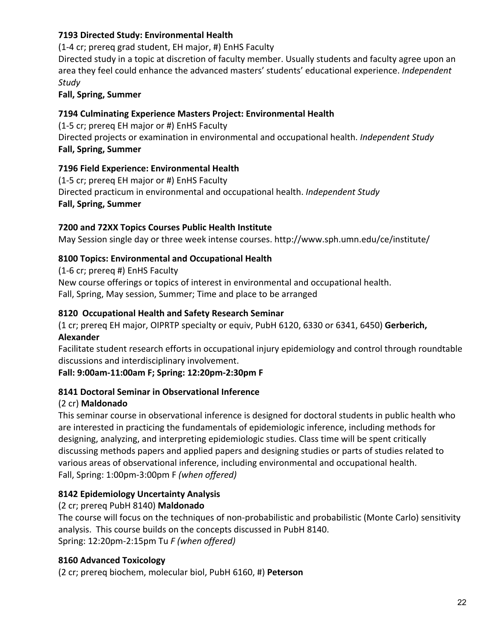#### **7193 Directed Study: Environmental Health**

(1‐4 cr; prereq grad student, EH major, #) EnHS Faculty

Directed study in a topic at discretion of faculty member. Usually students and faculty agree upon an area they feel could enhance the advanced masters' students' educational experience. *Independent Study*

#### **Fall, Spring, Summer**

#### **7194 Culminating Experience Masters Project: Environmental Health**

(1‐5 cr; prereq EH major or #) EnHS Faculty Directed projects or examination in environmental and occupational health. *Independent Study* **Fall, Spring, Summer** 

#### **7196 Field Experience: Environmental Health**

(1‐5 cr; prereq EH major or #) EnHS Faculty Directed practicum in environmental and occupational health. *Independent Study* **Fall, Spring, Summer** 

#### **7200 and 72XX Topics Courses Public Health Institute**

May Session single day or three week intense courses. http://www.sph.umn.edu/ce/institute/

#### **8100 Topics: Environmental and Occupational Health**

(1‐6 cr; prereq #) EnHS Faculty New course offerings or topics of interest in environmental and occupational health. Fall, Spring, May session, Summer; Time and place to be arranged

#### **8120 Occupational Health and Safety Research Seminar**

(1 cr; prereq EH major, OIPRTP specialty or equiv, PubH 6120, 6330 or 6341, 6450) **Gerberich, Alexander**

Facilitate student research efforts in occupational injury epidemiology and control through roundtable discussions and interdisciplinary involvement.

**Fall: 9:00am‐11:00am F; Spring: 12:20pm‐2:30pm F** 

#### **8141 Doctoral Seminar in Observational Inference**

#### (2 cr) **Maldonado**

This seminar course in observational inference is designed for doctoral students in public health who are interested in practicing the fundamentals of epidemiologic inference, including methods for designing, analyzing, and interpreting epidemiologic studies. Class time will be spent critically discussing methods papers and applied papers and designing studies or parts of studies related to various areas of observational inference, including environmental and occupational health. Fall, Spring: 1:00pm‐3:00pm F *(when offered)* 

#### **8142 Epidemiology Uncertainty Analysis**

(2 cr; prereq PubH 8140) **Maldonado**

The course will focus on the techniques of non-probabilistic and probabilistic (Monte Carlo) sensitivity analysis. This course builds on the concepts discussed in PubH 8140. Spring: 12:20pm‐2:15pm Tu *F (when offered)* 

#### **8160 Advanced Toxicology**

(2 cr; prereq biochem, molecular biol, PubH 6160, #) **Peterson**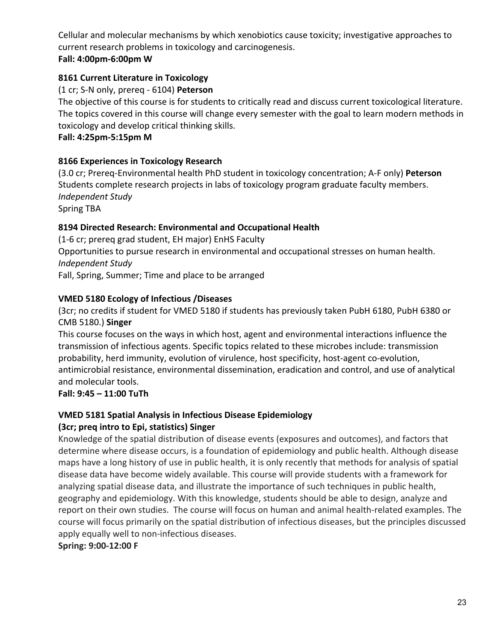Cellular and molecular mechanisms by which xenobiotics cause toxicity; investigative approaches to current research problems in toxicology and carcinogenesis. **Fall: 4:00pm‐6:00pm W** 

#### **8161 Current Literature in Toxicology**

#### (1 cr; S‐N only, prereq ‐ 6104) **Peterson**

The objective of this course is for students to critically read and discuss current toxicological literature. The topics covered in this course will change every semester with the goal to learn modern methods in toxicology and develop critical thinking skills.

#### **Fall: 4:25pm‐5:15pm M**

#### **8166 Experiences in Toxicology Research**

(3.0 cr; Prereq‐Environmental health PhD student in toxicology concentration; A‐F only) **Peterson** Students complete research projects in labs of toxicology program graduate faculty members. *Independent Study* 

Spring TBA

#### **8194 Directed Research: Environmental and Occupational Health**

(1‐6 cr; prereq grad student, EH major) EnHS Faculty Opportunities to pursue research in environmental and occupational stresses on human health. *Independent Study* Fall, Spring, Summer; Time and place to be arranged

#### **VMED 5180 Ecology of Infectious /Diseases**

(3cr; no credits if student for VMED 5180 if students has previously taken PubH 6180, PubH 6380 or CMB 5180.) **Singer**

This course focuses on the ways in which host, agent and environmental interactions influence the transmission of infectious agents. Specific topics related to these microbes include: transmission probability, herd immunity, evolution of virulence, host specificity, host-agent co-evolution, antimicrobial resistance, environmental dissemination, eradication and control, and use of analytical and molecular tools.

#### **Fall: 9:45 – 11:00 TuTh**

#### **VMED 5181 Spatial Analysis in Infectious Disease Epidemiology**

#### **(3cr; preq intro to Epi, statistics) Singer**

Knowledge of the spatial distribution of disease events (exposures and outcomes), and factors that determine where disease occurs, is a foundation of epidemiology and public health. Although disease maps have a long history of use in public health, it is only recently that methods for analysis of spatial disease data have become widely available. This course will provide students with a framework for analyzing spatial disease data, and illustrate the importance of such techniques in public health, geography and epidemiology. With this knowledge, students should be able to design, analyze and report on their own studies. The course will focus on human and animal health‐related examples. The course will focus primarily on the spatial distribution of infectious diseases, but the principles discussed apply equally well to non‐infectious diseases.

#### **Spring: 9:00‐12:00 F**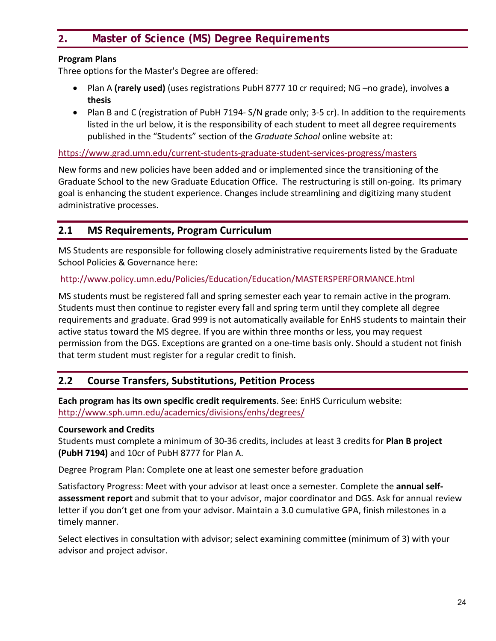## **2. Master of Science (MS) Degree Requirements**

#### **Program Plans**

Three options for the Master's Degree are offered:

- Plan A **(rarely used)** (uses registrations PubH 8777 10 cr required; NG –no grade), involves **a thesis**
- Plan B and C (registration of PubH 7194- S/N grade only; 3-5 cr). In addition to the requirements listed in the url below, it is the responsibility of each student to meet all degree requirements published in the "Students" section of the *Graduate School* online website at:

https://www.grad.umn.edu/current‐students‐graduate‐student‐services‐progress/masters

New forms and new policies have been added and or implemented since the transitioning of the Graduate School to the new Graduate Education Office. The restructuring is still on‐going. Its primary goal is enhancing the student experience. Changes include streamlining and digitizing many student administrative processes.

#### **2.1 MS Requirements, Program Curriculum**

MS Students are responsible for following closely administrative requirements listed by the Graduate School Policies & Governance here:

#### http://www.policy.umn.edu/Policies/Education/Education/MASTERSPERFORMANCE.html

MS students must be registered fall and spring semester each year to remain active in the program. Students must then continue to register every fall and spring term until they complete all degree requirements and graduate. Grad 999 is not automatically available for EnHS students to maintain their active status toward the MS degree. If you are within three months or less, you may request permission from the DGS. Exceptions are granted on a one‐time basis only. Should a student not finish that term student must register for a regular credit to finish.

#### **2.2 Course Transfers, Substitutions, Petition Process**

**Each program has its own specific credit requirements**. See: EnHS Curriculum website: http://www.sph.umn.edu/academics/divisions/enhs/degrees/

#### **Coursework and Credits**

Students must complete a minimum of 30‐36 credits, includes at least 3 credits for **Plan B project (PubH 7194)** and 10cr of PubH 8777 for Plan A.

Degree Program Plan: Complete one at least one semester before graduation

Satisfactory Progress: Meet with your advisor at least once a semester. Complete the **annual self‐ assessment report** and submit that to your advisor, major coordinator and DGS. Ask for annual review letter if you don't get one from your advisor. Maintain a 3.0 cumulative GPA, finish milestones in a timely manner.

Select electives in consultation with advisor; select examining committee (minimum of 3) with your advisor and project advisor.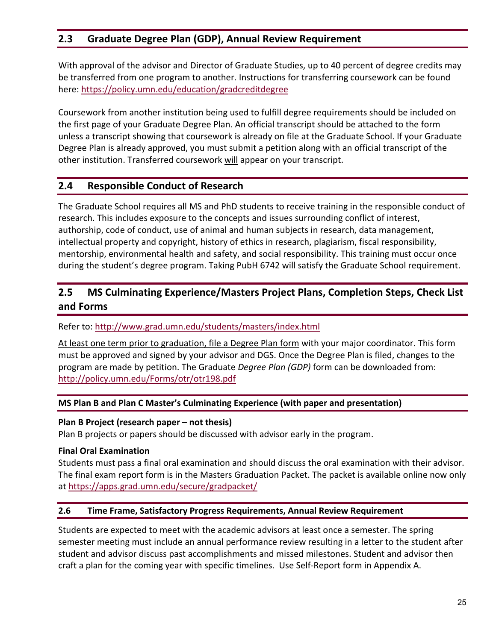## **2.3 Graduate Degree Plan (GDP), Annual Review Requirement**

With approval of the advisor and Director of Graduate Studies, up to 40 percent of degree credits may be transferred from one program to another. Instructions for transferring coursework can be found here: https://policy.umn.edu/education/gradcreditdegree

Coursework from another institution being used to fulfill degree requirements should be included on the first page of your Graduate Degree Plan. An official transcript should be attached to the form unless a transcript showing that coursework is already on file at the Graduate School. If your Graduate Degree Plan is already approved, you must submit a petition along with an official transcript of the other institution. Transferred coursework will appear on your transcript.

#### **2.4 Responsible Conduct of Research**

The Graduate School requires all MS and PhD students to receive training in the responsible conduct of research. This includes exposure to the concepts and issues surrounding conflict of interest, authorship, code of conduct, use of animal and human subjects in research, data management, intellectual property and copyright, history of ethics in research, plagiarism, fiscal responsibility, mentorship, environmental health and safety, and social responsibility. This training must occur once during the student's degree program. Taking PubH 6742 will satisfy the Graduate School requirement.

## **2.5 MS Culminating Experience/Masters Project Plans, Completion Steps, Check List and Forms**

#### Refer to: http://www.grad.umn.edu/students/masters/index.html

At least one term prior to graduation, file a Degree Plan form with your major coordinator. This form must be approved and signed by your advisor and DGS. Once the Degree Plan is filed, changes to the program are made by petition. The Graduate *Degree Plan (GDP)* form can be downloaded from: http://policy.umn.edu/Forms/otr/otr198.pdf

#### **MS Plan B and Plan C Master's Culminating Experience (with paper and presentation)**

#### **Plan B Project (research paper – not thesis)**

Plan B projects or papers should be discussed with advisor early in the program.

#### **Final Oral Examination**

Students must pass a final oral examination and should discuss the oral examination with their advisor. The final exam report form is in the Masters Graduation Packet. The packet is available online now only at https://apps.grad.umn.edu/secure/gradpacket/

#### **2.6 Time Frame, Satisfactory Progress Requirements, Annual Review Requirement**

Students are expected to meet with the academic advisors at least once a semester. The spring semester meeting must include an annual performance review resulting in a letter to the student after student and advisor discuss past accomplishments and missed milestones. Student and advisor then craft a plan for the coming year with specific timelines. Use Self‐Report form in Appendix A.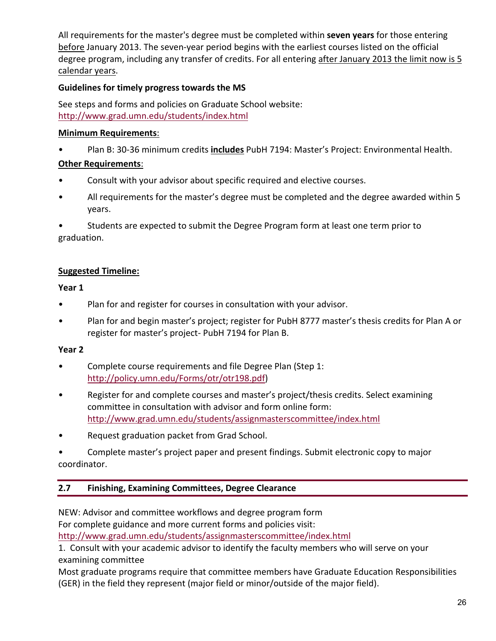All requirements for the master's degree must be completed within **seven years** for those entering before January 2013. The seven-year period begins with the earliest courses listed on the official degree program, including any transfer of credits. For all entering after January 2013 the limit now is 5 calendar years.

#### **Guidelines for timely progress towards the MS**

See steps and forms and policies on Graduate School website: http://www.grad.umn.edu/students/index.html

#### **Minimum Requirements**:

• Plan B: 30‐36 minimum credits **includes** PubH 7194: Master's Project: Environmental Health.

#### **Other Requirements**:

- Consult with your advisor about specific required and elective courses.
- All requirements for the master's degree must be completed and the degree awarded within 5 years.

• Students are expected to submit the Degree Program form at least one term prior to graduation.

#### **Suggested Timeline:**

#### **Year 1**

- Plan for and register for courses in consultation with your advisor.
- Plan for and begin master's project; register for PubH 8777 master's thesis credits for Plan A or register for master's project‐ PubH 7194 for Plan B.

#### **Year 2**

- Complete course requirements and file Degree Plan (Step 1: http://policy.umn.edu/Forms/otr/otr198.pdf)
- Register for and complete courses and master's project/thesis credits. Select examining committee in consultation with advisor and form online form: http://www.grad.umn.edu/students/assignmasterscommittee/index.html
- Request graduation packet from Grad School.

• Complete master's project paper and present findings. Submit electronic copy to major coordinator.

#### **2.7 Finishing, Examining Committees, Degree Clearance**

NEW: Advisor and committee workflows and degree program form For complete guidance and more current forms and policies visit: http://www.grad.umn.edu/students/assignmasterscommittee/index.html

1. Consult with your academic advisor to identify the faculty members who will serve on your examining committee

Most graduate programs require that committee members have Graduate Education Responsibilities (GER) in the field they represent (major field or minor/outside of the major field).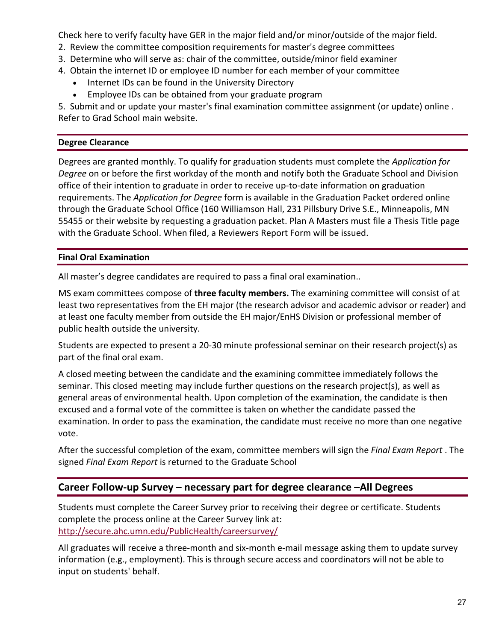Check here to verify faculty have GER in the major field and/or minor/outside of the major field.

- 2. Review the committee composition requirements for master's degree committees
- 3. Determine who will serve as: chair of the committee, outside/minor field examiner
- 4. Obtain the internet ID or employee ID number for each member of your committee
	- Internet IDs can be found in the University Directory
	- Employee IDs can be obtained from your graduate program

5. Submit and or update your master's final examination committee assignment (or update) online . Refer to Grad School main website.

#### **Degree Clearance**

Degrees are granted monthly. To qualify for graduation students must complete the *Application for Degree* on or before the first workday of the month and notify both the Graduate School and Division office of their intention to graduate in order to receive up-to-date information on graduation requirements. The *Application for Degree* form is available in the Graduation Packet ordered online through the Graduate School Office (160 Williamson Hall, 231 Pillsbury Drive S.E., Minneapolis, MN 55455 or their website by requesting a graduation packet. Plan A Masters must file a Thesis Title page with the Graduate School. When filed, a Reviewers Report Form will be issued.

#### **Final Oral Examination**

All master's degree candidates are required to pass a final oral examination..

MS exam committees compose of **three faculty members.** The examining committee will consist of at least two representatives from the EH major (the research advisor and academic advisor or reader) and at least one faculty member from outside the EH major/EnHS Division or professional member of public health outside the university.

Students are expected to present a 20‐30 minute professional seminar on their research project(s) as part of the final oral exam.

A closed meeting between the candidate and the examining committee immediately follows the seminar. This closed meeting may include further questions on the research project(s), as well as general areas of environmental health. Upon completion of the examination, the candidate is then excused and a formal vote of the committee is taken on whether the candidate passed the examination. In order to pass the examination, the candidate must receive no more than one negative vote.

After the successful completion of the exam, committee members will sign the *Final Exam Report* . The signed *Final Exam Report* is returned to the Graduate School

#### **Career Follow‐up Survey – necessary part for degree clearance –All Degrees**

Students must complete the Career Survey prior to receiving their degree or certificate. Students complete the process online at the Career Survey link at: http://secure.ahc.umn.edu/PublicHealth/careersurvey/

All graduates will receive a three‐month and six‐month e‐mail message asking them to update survey information (e.g., employment). This is through secure access and coordinators will not be able to input on students' behalf.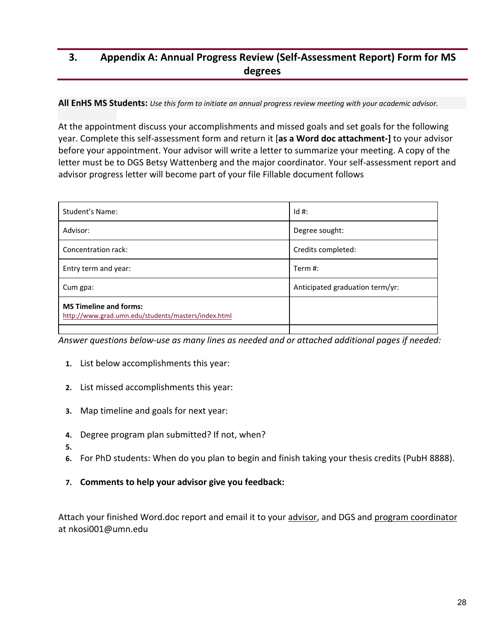## **3. Appendix A: Annual Progress Review (Self‐Assessment Report) Form for MS degrees**

#### **All EnHS MS Students:** *Use this form to initiate an annual progress review meeting with your academic advisor.*

At the appointment discuss your accomplishments and missed goals and set goals for the following year. Complete this self‐assessment form and return it [**as a Word doc attachment‐]** to your advisor before your appointment. Your advisor will write a letter to summarize your meeting. A copy of the letter must be to DGS Betsy Wattenberg and the major coordinator. Your self‐assessment report and advisor progress letter will become part of your file Fillable document follows

| Student's Name:                                                                      | $Id$ #:                         |
|--------------------------------------------------------------------------------------|---------------------------------|
| Advisor:                                                                             | Degree sought:                  |
| Concentration rack:                                                                  | Credits completed:              |
| Entry term and year:                                                                 | Term #:                         |
| Cum gpa:                                                                             | Anticipated graduation term/yr: |
| <b>MS Timeline and forms:</b><br>http://www.grad.umn.edu/students/masters/index.html |                                 |

*Answer questions below‐use as many lines as needed and or attached additional pages if needed:* 

- **1.** List below accomplishments this year:
- **2.** List missed accomplishments this year:
- **3.** Map timeline and goals for next year:
- **4.** Degree program plan submitted? If not, when?
- **5.**
- **6.** For PhD students: When do you plan to begin and finish taking your thesis credits (PubH 8888).
- **7. Comments to help your advisor give you feedback:**

Attach your finished Word.doc report and email it to your advisor, and DGS and program coordinator at nkosi001@umn.edu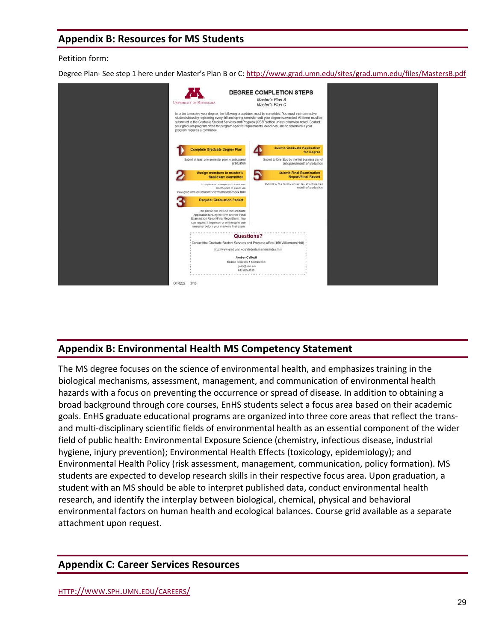#### **Appendix B: Resources for MS Students**

#### Petition form:

Degree Plan- See step 1 here under Master's Plan B or C: http://www.grad.umn.edu/sites/grad.umn.edu/files/MastersB.pdf



## **Appendix B: Environmental Health MS Competency Statement**

The MS degree focuses on the science of environmental health, and emphasizes training in the biological mechanisms, assessment, management, and communication of environmental health hazards with a focus on preventing the occurrence or spread of disease. In addition to obtaining a broad background through core courses, EnHS students select a focus area based on their academic goals. EnHS graduate educational programs are organized into three core areas that reflect the trans‐ and multi‐disciplinary scientific fields of environmental health as an essential component of the wider field of public health: Environmental Exposure Science (chemistry, infectious disease, industrial hygiene, injury prevention); Environmental Health Effects (toxicology, epidemiology); and Environmental Health Policy (risk assessment, management, communication, policy formation). MS students are expected to develop research skills in their respective focus area. Upon graduation, a student with an MS should be able to interpret published data, conduct environmental health research, and identify the interplay between biological, chemical, physical and behavioral environmental factors on human health and ecological balances. Course grid available as a separate attachment upon request.

#### **Appendix C: Career Services Resources**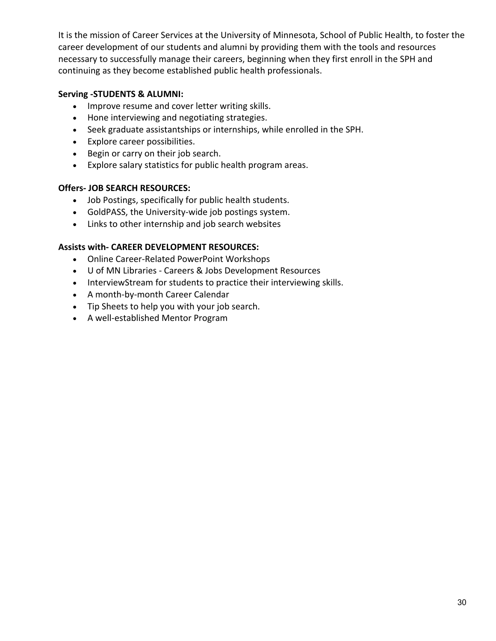It is the mission of Career Services at the University of Minnesota, School of Public Health, to foster the career development of our students and alumni by providing them with the tools and resources necessary to successfully manage their careers, beginning when they first enroll in the SPH and continuing as they become established public health professionals.

#### **Serving ‐STUDENTS & ALUMNI:**

- Improve resume and cover letter writing skills.
- Hone interviewing and negotiating strategies.
- Seek graduate assistantships or internships, while enrolled in the SPH.
- Explore career possibilities.
- Begin or carry on their job search.
- Explore salary statistics for public health program areas.

#### **Offers‐ JOB SEARCH RESOURCES:**

- Job Postings, specifically for public health students.
- GoldPASS, the University-wide job postings system.
- Links to other internship and job search websites

#### **Assists with‐ CAREER DEVELOPMENT RESOURCES:**

- Online Career-Related PowerPoint Workshops
- U of MN Libraries ‐ Careers & Jobs Development Resources
- InterviewStream for students to practice their interviewing skills.
- A month‐by‐month Career Calendar
- Tip Sheets to help you with your job search.
- A well‐established Mentor Program